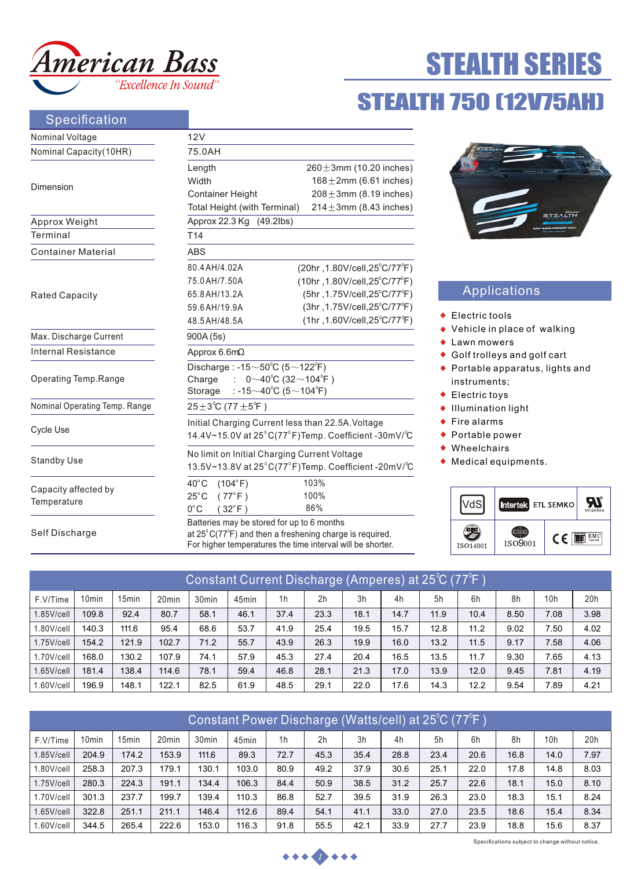

# STEALTH 750 (12V75AH) STEALTH SERIES

## Specification

| Nominal Voltage                     | 12V                                                                                                                                        |                                               |  |  |  |  |  |  |  |
|-------------------------------------|--------------------------------------------------------------------------------------------------------------------------------------------|-----------------------------------------------|--|--|--|--|--|--|--|
| Nominal Capacity(10HR)              | 75.0AH                                                                                                                                     |                                               |  |  |  |  |  |  |  |
|                                     | Length                                                                                                                                     | $260 \pm 3$ mm (10.20 inches)                 |  |  |  |  |  |  |  |
| Dimension                           | Width                                                                                                                                      | $168 \pm 2$ mm (6.61 inches)                  |  |  |  |  |  |  |  |
|                                     | <b>Container Height</b>                                                                                                                    | $208 \pm 3$ mm (8.19 inches)                  |  |  |  |  |  |  |  |
|                                     | $214 \pm 3$ mm (8.43 inches)<br>Total Height (with Terminal)                                                                               |                                               |  |  |  |  |  |  |  |
| Approx Weight                       | Approx 22.3 Kg<br>$(49.2$ lbs)                                                                                                             |                                               |  |  |  |  |  |  |  |
| Terminal                            | T <sub>14</sub>                                                                                                                            |                                               |  |  |  |  |  |  |  |
| <b>Container Material</b>           | <b>ABS</b>                                                                                                                                 |                                               |  |  |  |  |  |  |  |
|                                     | 80.4 AH/4,02A                                                                                                                              | (20hr, 1.80V/cell, 25°C/77°F)                 |  |  |  |  |  |  |  |
|                                     | 75.0 AH/7.50A                                                                                                                              | $(10hr, 1.80V/cell, 25^{\circ}C/77^{\circ}F)$ |  |  |  |  |  |  |  |
| <b>Rated Capacity</b>               | 65.8 AH/13.2A                                                                                                                              | (5hr, 1.75V/cell, 25°C/77°F)                  |  |  |  |  |  |  |  |
|                                     | 59.6AH/19.9A                                                                                                                               | (3hr, 1.75V/cell, 25°C/77°F)                  |  |  |  |  |  |  |  |
|                                     | 48.5 AH/48.5A                                                                                                                              | $(1hr, 1.60V/cell, 25^{\circ}C/77^{\circ}F)$  |  |  |  |  |  |  |  |
| Max. Discharge Current              | 900A (5s)                                                                                                                                  |                                               |  |  |  |  |  |  |  |
| Internal Resistance                 | Approx $6.6m\Omega$                                                                                                                        |                                               |  |  |  |  |  |  |  |
|                                     | Discharge: -15 $\sim$ 50 $^{\circ}$ C (5 $\sim$ 122 $^{\circ}$ F)                                                                          |                                               |  |  |  |  |  |  |  |
| Operating Temp.Range                | Charge<br>$0 \sim 40^{\circ}$ C (32 $\sim$ 104 $^{\circ}$ F)                                                                               |                                               |  |  |  |  |  |  |  |
|                                     | : -15 $\sim$ 40°C (5 $\sim$ 104°F)<br>Storage                                                                                              |                                               |  |  |  |  |  |  |  |
| Nominal Operating Temp. Range       | $25\pm3^{\circ}$ C (77 $\pm5^{\circ}$ F)                                                                                                   |                                               |  |  |  |  |  |  |  |
|                                     | Initial Charging Current less than 22.5A. Voltage                                                                                          |                                               |  |  |  |  |  |  |  |
| <b>Cycle Use</b>                    | 14.4V~15.0V at 25°C(77°F)Temp. Coefficient -30mV/°C                                                                                        |                                               |  |  |  |  |  |  |  |
|                                     |                                                                                                                                            | No limit on Initial Charging Current Voltage  |  |  |  |  |  |  |  |
| <b>Standby Use</b>                  | 13.5V~13.8V at 25°C(77°F)Temp. Coefficient -20mV/°C                                                                                        |                                               |  |  |  |  |  |  |  |
|                                     | $40^{\circ}$ C<br>(104°F)                                                                                                                  | 103%                                          |  |  |  |  |  |  |  |
| Capacity affected by<br>Temperature | $25^{\circ}$ C<br>$(77^{\circ}F)$                                                                                                          | 100%                                          |  |  |  |  |  |  |  |
|                                     | $0^{\circ}$ C<br>$(32^{\circ}F)$                                                                                                           | 86%                                           |  |  |  |  |  |  |  |
|                                     | Batteries may be stored for up to 6 months                                                                                                 |                                               |  |  |  |  |  |  |  |
| Self Discharge                      | at $25^{\circ}$ C(77 $^{\circ}$ F) and then a freshening charge is required.<br>For higher temperatures the time interval will be shorter. |                                               |  |  |  |  |  |  |  |



# Applications

- ◆ Electric tools
- Vehicle in place of walking
- ◆ Lawn mowers
- Golf trolleys and golf cart
- Portable apparatus, lights and instruments;
- ◆ Electric toys
- Illumination light
- $\triangle$  Fire alarms
- ◆ Portable power
- ◆ Wheelchairs
- Medical equipments.



| (Constant Current Discharge (Amperes) at 25℃ (77℉ ) |                   |                   |                   |                   |                   |                |                |                |      |      |      |      |                 |      |
|-----------------------------------------------------|-------------------|-------------------|-------------------|-------------------|-------------------|----------------|----------------|----------------|------|------|------|------|-----------------|------|
| F.V/Time                                            | 10 <sub>min</sub> | 15 <sub>min</sub> | 20 <sub>min</sub> | 30 <sub>min</sub> | 45 <sub>min</sub> | 1 <sub>h</sub> | 2 <sub>h</sub> | 3 <sub>h</sub> | 4h   | 5h   | 6h   | 8h   | 10 <sub>h</sub> | 20h  |
| 1.85V/cell                                          | 109.8             | 92.4              | 80.7              | 58.1              | 46.1              | 37.4           | 23.3           | 18.1           | 14.7 | 11.9 | 10.4 | 8.50 | 7.08            | 3.98 |
| 1.80V/cell                                          | 140.3             | 111.6             | 95.4              | 68.6              | 53.7              | 41.9           | 25.4           | 19.5           | 15.7 | 12.8 | 11.2 | 9.02 | 7.50            | 4.02 |
| 1.75V/cell                                          | 154.2             | 121.9             | 102.7             | 71.2              | 55.7              | 43.9           | 26.3           | 19.9           | 16.0 | 13.2 | 11.5 | 9.17 | 7.58            | 4.06 |
| 1.70V/cell                                          | 168.0             | 130.2             | 107.9             | 74.1              | 57.9              | 45.3           | 27.4           | 20.4           | 16.5 | 13.5 | 11.7 | 9.30 | 7.65            | 4.13 |
| $1.65$ V/cell                                       | 181.4             | 138.4             | 114.6             | 78.1              | 59.4              | 46.8           | 28.1           | 21.3           | 17.0 | 13.9 | 12.0 | 9.45 | 7.81            | 4.19 |
| 1.60V/cell                                          | 196.9             | 148.1             | 122.1             | 82.5              | 61.9              | 48.5           | 29.1           | 22.0           | 17.6 | 14.3 | 12.2 | 9.54 | 7.89            | 4.21 |

| Constant Power Discharge (Watts/cell) at 25°C (77°F) |                   |                   |                   |                   |       |                |                |                |      |      |      |      |                 |      |
|------------------------------------------------------|-------------------|-------------------|-------------------|-------------------|-------|----------------|----------------|----------------|------|------|------|------|-----------------|------|
| F.V/Time                                             | 10 <sub>min</sub> | 15 <sub>min</sub> | 20 <sub>min</sub> | 30 <sub>min</sub> | 45min | 1 <sub>h</sub> | 2 <sub>h</sub> | 3 <sub>h</sub> | 4h   | 5h   | 6h   | 8h   | 10 <sub>h</sub> | 20h  |
| $1.85$ V/cell                                        | 204.9             | 174.2             | 153.9             | 111.6             | 89.3  | 72.7           | 45.3           | 35.4           | 28.8 | 23.4 | 20.6 | 16.8 | 14.0            | 7.97 |
| 1.80V/cell                                           | 258.3             | 207.3             | 179.1             | 130.1             | 103.0 | 80.9           | 49.2           | 37.9           | 30.6 | 25.1 | 22.0 | 17.8 | 14.8            | 8.03 |
| $1.75$ V/cell                                        | 280.3             | 224.3             | 191.1             | 134.4             | 106.3 | 84.4           | 50.9           | 38.5           | 31.2 | 25.7 | 22.6 | 18.1 | 15.0            | 8.10 |
| 1.70V/cell                                           | 301.3             | 237.7             | 199.7             | 139.4             | 110.3 | 86.8           | 52.7           | 39.5           | 31.9 | 26.3 | 23.0 | 18.3 | 15.1            | 8.24 |
| $1.65$ V/cell                                        | 322.8             | 251.1             | 211.1             | 146.4             | 112.6 | 89.4           | 54.1           | 41.1           | 33.0 | 27.0 | 23.5 | 18.6 | 15.4            | 8.34 |
| $1.60$ V/cell                                        | 344.5             | 265.4             | 222.6             | 153.0             | 116.3 | 91.8           | 55.5           | 42.1           | 33.9 | 27.7 | 23.9 | 18.8 | 15.6            | 8.37 |



Specifications subject to change without notice.